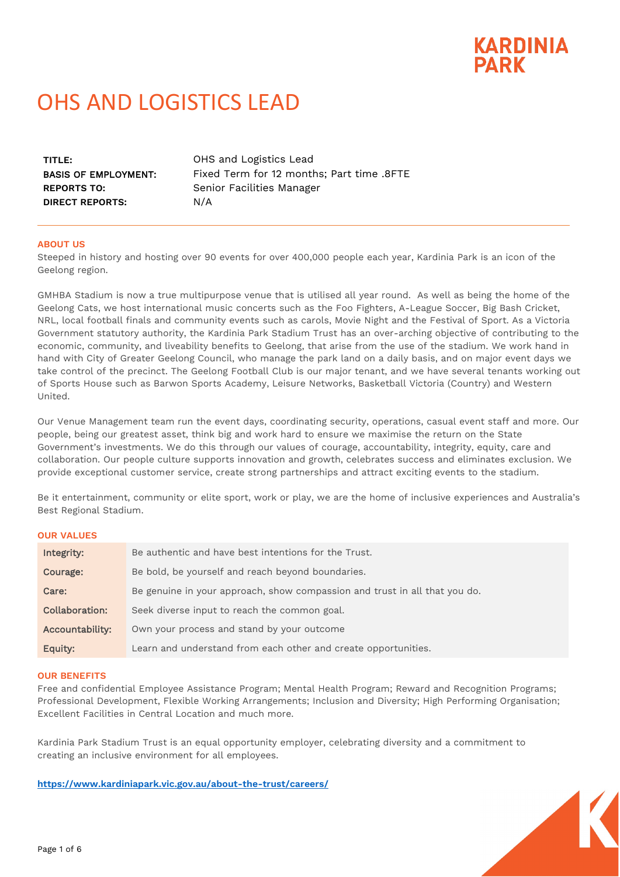# **KARDINIA PARK**

# OHS AND LOGISTICS LEAD

| TITLE:                      |  |
|-----------------------------|--|
| <b>BASIS OF EMPLOYMENT:</b> |  |
| <b>REPORTS TO:</b>          |  |
| DIRECT REPORTS:             |  |

OHS and Logistics Lead Fixed Term for 12 months; Part time .8FTE Senior Facilities Manager N/A

# **ABOUT US**

Steeped in history and hosting over 90 events for over 400,000 people each year, Kardinia Park is an icon of the Geelong region.

GMHBA Stadium is now a true multipurpose venue that is utilised all year round. As well as being the home of the Geelong Cats, we host international music concerts such as the Foo Fighters, A-League Soccer, Big Bash Cricket, NRL, local football finals and community events such as carols, Movie Night and the Festival of Sport. As a Victoria Government statutory authority, the Kardinia Park Stadium Trust has an over-arching objective of contributing to the economic, community, and liveability benefits to Geelong, that arise from the use of the stadium. We work hand in hand with City of Greater Geelong Council, who manage the park land on a daily basis, and on major event days we take control of the precinct. The Geelong Football Club is our major tenant, and we have several tenants working out of Sports House such as Barwon Sports Academy, Leisure Networks, Basketball Victoria (Country) and Western United.

Our Venue Management team run the event days, coordinating security, operations, casual event staff and more. Our people, being our greatest asset, think big and work hard to ensure we maximise the return on the State Government's investments. We do this through our values of courage, accountability, integrity, equity, care and collaboration. Our people culture supports innovation and growth, celebrates success and eliminates exclusion. We provide exceptional customer service, create strong partnerships and attract exciting events to the stadium.

Be it entertainment, community or elite sport, work or play, we are the home of inclusive experiences and Australia's Best Regional Stadium.

#### **OUR VALUES**

| Integrity:      | Be authentic and have best intentions for the Trust.                       |
|-----------------|----------------------------------------------------------------------------|
| Courage:        | Be bold, be yourself and reach beyond boundaries.                          |
| Care:           | Be genuine in your approach, show compassion and trust in all that you do. |
| Collaboration:  | Seek diverse input to reach the common goal.                               |
| Accountability: | Own your process and stand by your outcome                                 |
| Equity:         | Learn and understand from each other and create opportunities.             |

#### **OUR BENEFITS**

Free and confidential Employee Assistance Program; Mental Health Program; Reward and Recognition Programs; Professional Development, Flexible Working Arrangements; Inclusion and Diversity; High Performing Organisation; Excellent Facilities in Central Location and much more.

Kardinia Park Stadium Trust is an equal opportunity employer, celebrating diversity and a commitment to creating an inclusive environment for all employees.

**<https://www.kardiniapark.vic.gov.au/about-the-trust/careers/>**

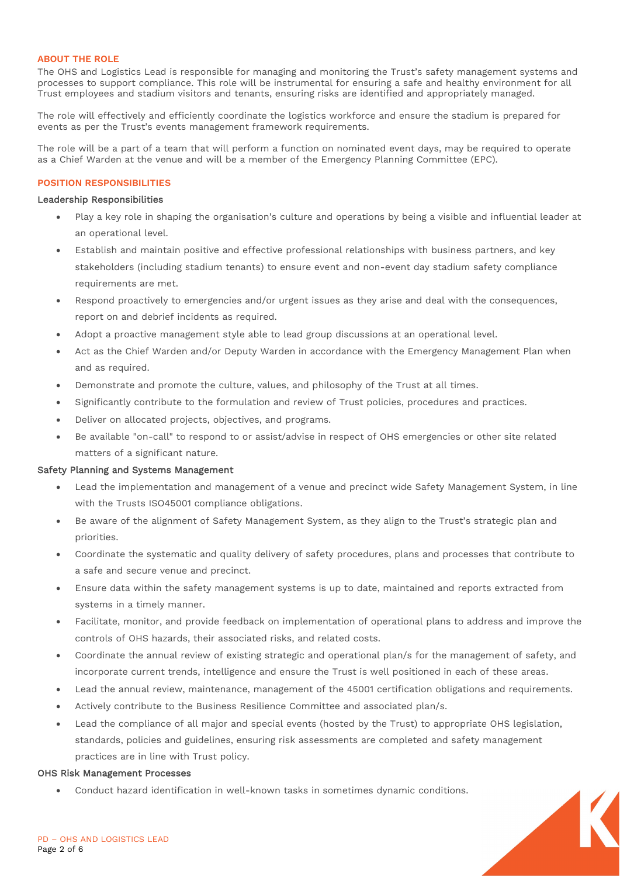#### **ABOUT THE ROLE**

The OHS and Logistics Lead is responsible for managing and monitoring the Trust's safety management systems and processes to support compliance. This role will be instrumental for ensuring a safe and healthy environment for all Trust employees and stadium visitors and tenants, ensuring risks are identified and appropriately managed.

The role will effectively and efficiently coordinate the logistics workforce and ensure the stadium is prepared for events as per the Trust's events management framework requirements.

The role will be a part of a team that will perform a function on nominated event days, may be required to operate as a Chief Warden at the venue and will be a member of the Emergency Planning Committee (EPC).

#### **POSITION RESPONSIBILITIES**

#### Leadership Responsibilities

- Play a key role in shaping the organisation's culture and operations by being a visible and influential leader at an operational level.
- Establish and maintain positive and effective professional relationships with business partners, and key stakeholders (including stadium tenants) to ensure event and non-event day stadium safety compliance requirements are met.
- Respond proactively to emergencies and/or urgent issues as they arise and deal with the consequences, report on and debrief incidents as required.
- Adopt a proactive management style able to lead group discussions at an operational level.
- Act as the Chief Warden and/or Deputy Warden in accordance with the Emergency Management Plan when and as required.
- Demonstrate and promote the culture, values, and philosophy of the Trust at all times.
- Significantly contribute to the formulation and review of Trust policies, procedures and practices.
- Deliver on allocated projects, objectives, and programs.
- Be available "on-call" to respond to or assist/advise in respect of OHS emergencies or other site related matters of a significant nature.

# Safety Planning and Systems Management

- Lead the implementation and management of a venue and precinct wide Safety Management System, in line with the Trusts ISO45001 compliance obligations.
- Be aware of the alignment of Safety Management System, as they align to the Trust's strategic plan and priorities.
- Coordinate the systematic and quality delivery of safety procedures, plans and processes that contribute to a safe and secure venue and precinct.
- Ensure data within the safety management systems is up to date, maintained and reports extracted from systems in a timely manner.
- Facilitate, monitor, and provide feedback on implementation of operational plans to address and improve the controls of OHS hazards, their associated risks, and related costs.
- Coordinate the annual review of existing strategic and operational plan/s for the management of safety, and incorporate current trends, intelligence and ensure the Trust is well positioned in each of these areas.
- Lead the annual review, maintenance, management of the 45001 certification obligations and requirements.
- Actively contribute to the Business Resilience Committee and associated plan/s.
- Lead the compliance of all major and special events (hosted by the Trust) to appropriate OHS legislation, standards, policies and guidelines, ensuring risk assessments are completed and safety management practices are in line with Trust policy.

#### OHS Risk Management Processes

• Conduct hazard identification in well-known tasks in sometimes dynamic conditions.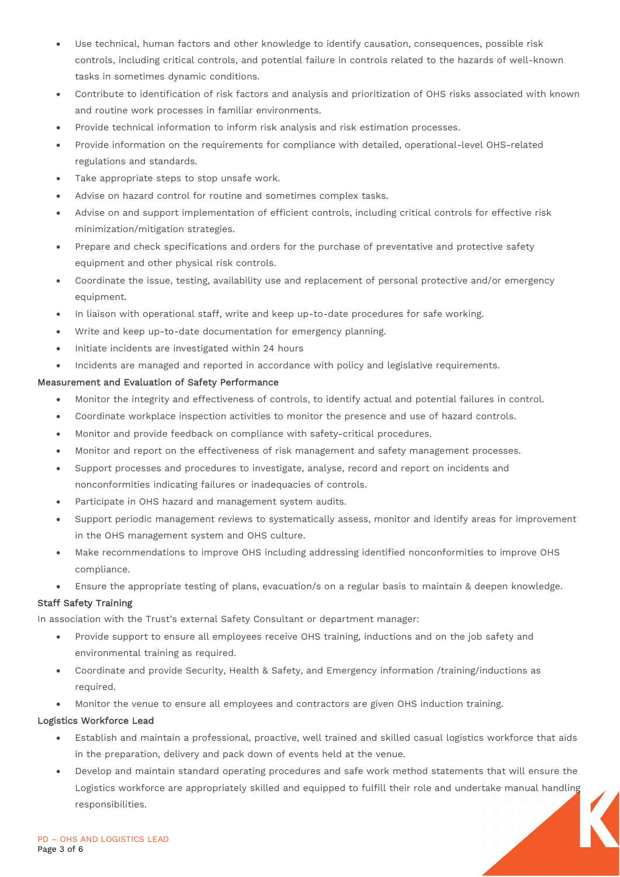- Use technical, human factors and other knowledge to identify causation, consequences, possible risk controls, including critical controls, and potential failure in controls related to the hazards of well-known tasks in sometimes dynamic conditions.
- Contribute to identification of risk factors and analysis and prioritization of OHS risks associated with known and routine work processes in familiar environments.
- Provide technical information to inform risk analysis and risk estimation processes.
- Provide information on the requirements for compliance with detailed, operational-level OHS-related regulations and standards.
- Take appropriate steps to stop unsafe work.
- Advise on hazard control for routine and sometimes complex tasks.
- Advise on and support implementation of efficient controls, including critical controls for effective risk minimization/mitigation strategies.
- Prepare and check specifications and orders for the purchase of preventative and protective safety equipment and other physical risk controls.
- Coordinate the issue, testing, availability use and replacement of personal protective and/or emergency equipment.
- In liaison with operational staff, write and keep up-to-date procedures for safe working.
- Write and keep up-to-date documentation for emergency planning.
- Initiate incidents are investigated within 24 hours
- Incidents are managed and reported in accordance with policy and legislative requirements.

# Measurement and Evaluation of Safety Performance

- Monitor the integrity and effectiveness of controls, to identify actual and potential failures in control.
- Coordinate workplace inspection activities to monitor the presence and use of hazard controls.
- Monitor and provide feedback on compliance with safety-critical procedures.
- Monitor and report on the effectiveness of risk management and safety management processes.
- Support processes and procedures to investigate, analyse, record and report on incidents and nonconformities indicating failures or inadequacies of controls.
- Participate in OHS hazard and management system audits.
- Support periodic management reviews to systematically assess, monitor and identify areas for improvement in the OHS management system and OHS culture.
- Make recommendations to improve OHS including addressing identified nonconformities to improve OHS compliance.
- Ensure the appropriate testing of plans, evacuation/s on a regular basis to maintain & deepen knowledge.

# Staff Safety Training

In association with the Trust's external Safety Consultant or department manager:

- Provide support to ensure all employees receive OHS training, inductions and on the job safety and environmental training as required.
- Coordinate and provide Security, Health & Safety, and Emergency information /training/inductions as required.
- Monitor the venue to ensure all employees and contractors are given OHS induction training.

# Logistics Workforce Lead

- Establish and maintain a professional, proactive, well trained and skilled casual logistics workforce that aids in the preparation, delivery and pack down of events held at the venue.
- Develop and maintain standard operating procedures and safe work method statements that will ensure the Logistics workforce are appropriately skilled and equipped to fulfill their role and undertake manual handling responsibilities.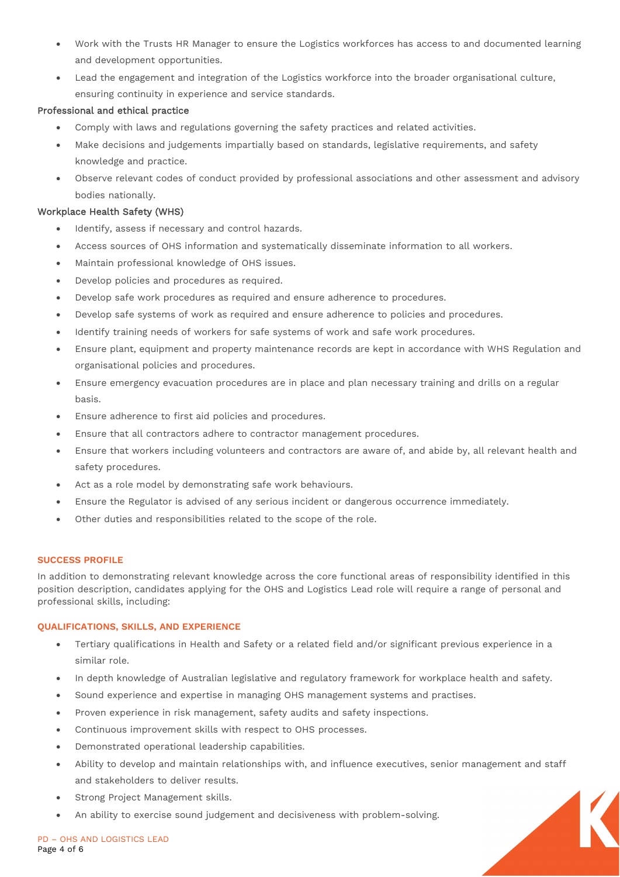- Work with the Trusts HR Manager to ensure the Logistics workforces has access to and documented learning and development opportunities.
- Lead the engagement and integration of the Logistics workforce into the broader organisational culture, ensuring continuity in experience and service standards.

# Professional and ethical practice

- Comply with laws and regulations governing the safety practices and related activities.
- Make decisions and judgements impartially based on standards, legislative requirements, and safety knowledge and practice.
- Observe relevant codes of conduct provided by professional associations and other assessment and advisory bodies nationally.

# Workplace Health Safety (WHS)

- Identify, assess if necessary and control hazards.
- Access sources of OHS information and systematically disseminate information to all workers.
- Maintain professional knowledge of OHS issues.
- Develop policies and procedures as required.
- Develop safe work procedures as required and ensure adherence to procedures.
- Develop safe systems of work as required and ensure adherence to policies and procedures.
- Identify training needs of workers for safe systems of work and safe work procedures.
- Ensure plant, equipment and property maintenance records are kept in accordance with WHS Regulation and organisational policies and procedures.
- Ensure emergency evacuation procedures are in place and plan necessary training and drills on a regular basis.
- Ensure adherence to first aid policies and procedures.
- Ensure that all contractors adhere to contractor management procedures.
- Ensure that workers including volunteers and contractors are aware of, and abide by, all relevant health and safety procedures.
- Act as a role model by demonstrating safe work behaviours.
- Ensure the Regulator is advised of any serious incident or dangerous occurrence immediately.
- Other duties and responsibilities related to the scope of the role.

# **SUCCESS PROFILE**

In addition to demonstrating relevant knowledge across the core functional areas of responsibility identified in this position description, candidates applying for the OHS and Logistics Lead role will require a range of personal and professional skills, including:

# **QUALIFICATIONS, SKILLS, AND EXPERIENCE**

- Tertiary qualifications in Health and Safety or a related field and/or significant previous experience in a similar role.
- In depth knowledge of Australian legislative and regulatory framework for workplace health and safety.
- Sound experience and expertise in managing OHS management systems and practises.
- Proven experience in risk management, safety audits and safety inspections.
- Continuous improvement skills with respect to OHS processes.
- Demonstrated operational leadership capabilities.
- Ability to develop and maintain relationships with, and influence executives, senior management and staff and stakeholders to deliver results.
- Strong Project Management skills.
- An ability to exercise sound judgement and decisiveness with problem-solving.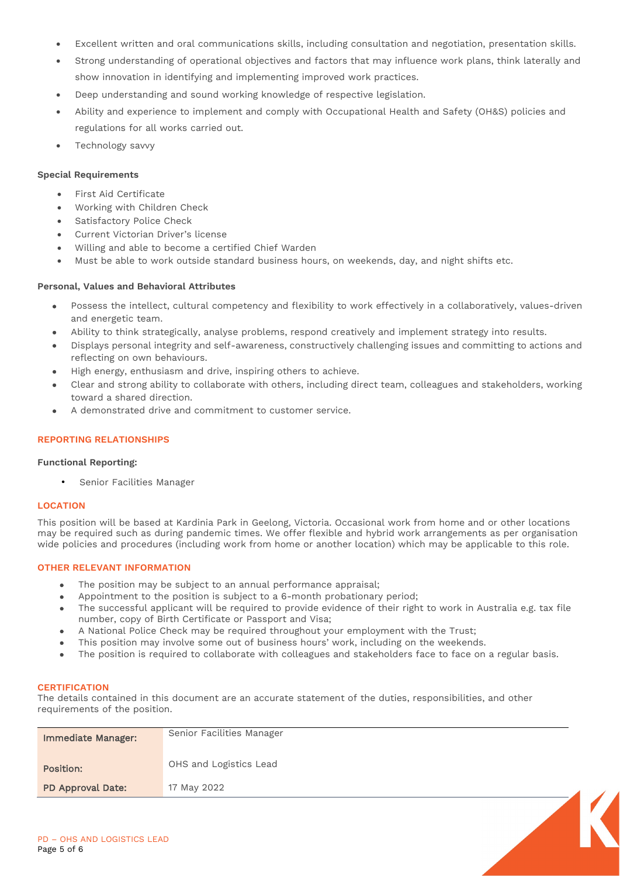- Excellent written and oral communications skills, including consultation and negotiation, presentation skills.
- Strong understanding of operational objectives and factors that may influence work plans, think laterally and show innovation in identifying and implementing improved work practices.
- Deep understanding and sound working knowledge of respective legislation.
- Ability and experience to implement and comply with Occupational Health and Safety (OH&S) policies and regulations for all works carried out.
- Technology savvy

# **Special Requirements**

- First Aid Certificate
- Working with Children Check
- Satisfactory Police Check
- Current Victorian Driver's license
- Willing and able to become a certified Chief Warden
- Must be able to work outside standard business hours, on weekends, day, and night shifts etc.

# **Personal, Values and Behavioral Attributes**

- Possess the intellect, cultural competency and flexibility to work effectively in a collaboratively, values-driven and energetic team.
- Ability to think strategically, analyse problems, respond creatively and implement strategy into results.
- Displays personal integrity and self-awareness, constructively challenging issues and committing to actions and reflecting on own behaviours.
- High energy, enthusiasm and drive, inspiring others to achieve.
- Clear and strong ability to collaborate with others, including direct team, colleagues and stakeholders, working toward a shared direction.
- A demonstrated drive and commitment to customer service.

# **REPORTING RELATIONSHIPS**

#### **Functional Reporting:**

• Senior Facilities Manager

#### **LOCATION**

This position will be based at Kardinia Park in Geelong, Victoria. Occasional work from home and or other locations may be required such as during pandemic times. We offer flexible and hybrid work arrangements as per organisation wide policies and procedures (including work from home or another location) which may be applicable to this role.

# **OTHER RELEVANT INFORMATION**

- The position may be subject to an annual performance appraisal;
- Appointment to the position is subject to a 6-month probationary period;
- The successful applicant will be required to provide evidence of their right to work in Australia e.g. tax file number, copy of Birth Certificate or Passport and Visa;
- A National Police Check may be required throughout your employment with the Trust;
- This position may involve some out of business hours' work, including on the weekends.
- The position is required to collaborate with colleagues and stakeholders face to face on a regular basis.

# **CERTIFICATION**

The details contained in this document are an accurate statement of the duties, responsibilities, and other requirements of the position.

| <b>Immediate Manager:</b> | Senior Facilities Manager |  |
|---------------------------|---------------------------|--|
| Position:                 | OHS and Logistics Lead    |  |
| PD Approval Date:         | 17 May 2022               |  |